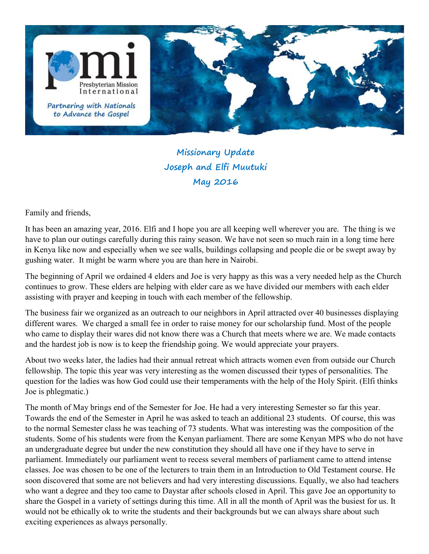

## Missionary Update Joseph and Elfi Muutuki May 2016

Family and friends,

It has been an amazing year, 2016. Elfi and I hope you are all keeping well wherever you are. The thing is we have to plan our outings carefully during this rainy season. We have not seen so much rain in a long time here in Kenya like now and especially when we see walls, buildings collapsing and people die or be swept away by gushing water. It might be warm where you are than here in Nairobi.

The beginning of April we ordained 4 elders and Joe is very happy as this was a very needed help as the Church continues to grow. These elders are helping with elder care as we have divided our members with each elder assisting with prayer and keeping in touch with each member of the fellowship.

The business fair we organized as an outreach to our neighbors in April attracted over 40 businesses displaying different wares. We charged a small fee in order to raise money for our scholarship fund. Most of the people who came to display their wares did not know there was a Church that meets where we are. We made contacts and the hardest job is now is to keep the friendship going. We would appreciate your prayers.

About two weeks later, the ladies had their annual retreat which attracts women even from outside our Church fellowship. The topic this year was very interesting as the women discussed their types of personalities. The question for the ladies was how God could use their temperaments with the help of the Holy Spirit. (Elfi thinks Joe is phlegmatic.)

The month of May brings end of the Semester for Joe. He had a very interesting Semester so far this year. Towards the end of the Semester in April he was asked to teach an additional 23 students. Of course, this was to the normal Semester class he was teaching of 73 students. What was interesting was the composition of the students. Some of his students were from the Kenyan parliament. There are some Kenyan MPS who do not have an undergraduate degree but under the new constitution they should all have one if they have to serve in parliament. Immediately our parliament went to recess several members of parliament came to attend intense classes. Joe was chosen to be one of the lecturers to train them in an Introduction to Old Testament course. He soon discovered that some are not believers and had very interesting discussions. Equally, we also had teachers who want a degree and they too came to Daystar after schools closed in April. This gave Joe an opportunity to share the Gospel in a variety of settings during this time. All in all the month of April was the busiest for us. It would not be ethically ok to write the students and their backgrounds but we can always share about such exciting experiences as always personally.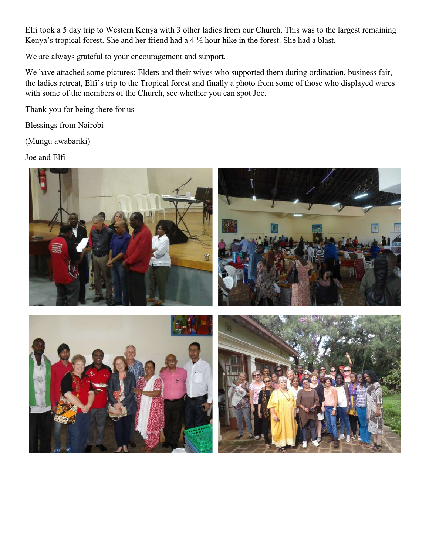Elfi took a 5 day trip to Western Kenya with 3 other ladies from our Church. This was to the largest remaining Kenya's tropical forest. She and her friend had a 4 ½ hour hike in the forest. She had a blast.

We are always grateful to your encouragement and support.

We have attached some pictures: Elders and their wives who supported them during ordination, business fair, the ladies retreat, Elfi's trip to the Tropical forest and finally a photo from some of those who displayed wares with some of the members of the Church, see whether you can spot Joe.

Thank you for being there for us

Blessings from Nairobi

(Mungu awabariki)

Joe and Elfi